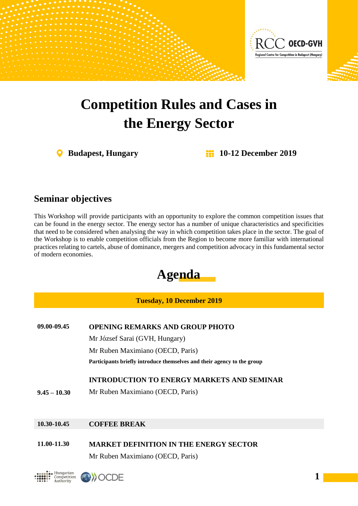

# **Competition Rules and Cases in the Energy Sector**

**Budapest, Hungary 10-12 December 2019**

## **Seminar objectives**

This Workshop will provide participants with an opportunity to explore the common competition issues that can be found in the energy sector. The energy sector has a number of unique characteristics and specificities that need to be considered when analysing the way in which competition takes place in the sector. The goal of the Workshop is to enable competition officials from the Region to become more familiar with international practices relating to cartels, abuse of dominance, mergers and competition advocacy in this fundamental sector of modern economies.

# **Agenda**

#### **Tuesday, 10 December 2019**

| 09.00-09.45           | <b>OPENING REMARKS AND GROUP PHOTO</b>                                  |
|-----------------------|-------------------------------------------------------------------------|
|                       | Mr József Sarai (GVH, Hungary)                                          |
|                       | Mr Ruben Maximiano (OECD, Paris)                                        |
|                       | Participants briefly introduce themselves and their agency to the group |
|                       | <b>INTRODUCTION TO ENERGY MARKETS AND SEMINAR</b>                       |
| $9.45 - 10.30$        | Mr Ruben Maximiano (OECD, Paris)                                        |
|                       |                                                                         |
| 10.30-10.45           | <b>COFFEE BREAK</b>                                                     |
| 11.00-11.30           | <b>MARKET DEFINITION IN THE ENERGY SECTOR</b>                           |
|                       | Mr Ruben Maximiano (OECD, Paris)                                        |
| ungarian<br>Authority |                                                                         |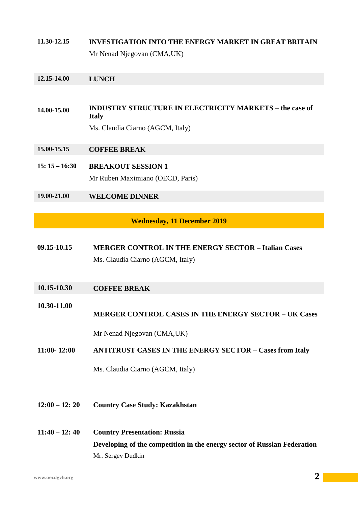### **11.30-12.15 INVESTIGATION INTO THE ENERGY MARKET IN GREAT BRITAIN** Mr Nenad Njegovan (CMA,UK)

#### **12.15-14.00 LUNCH**

- **14.00-15.00 INDUSTRY STRUCTURE IN ELECTRICITY MARKETS – the case of Italy** Ms. Claudia Ciarno (AGCM, Italy)
- **15.00-15.15 COFFEE BREAK**
- **15: 15 – 16:30 BREAKOUT SESSION 1** Mr Ruben Maximiano (OECD, Paris)

**19.00-21.00 WELCOME DINNER** 

**Wednesday, 11 December 2019**

- **09.15-10.15 MERGER CONTROL IN THE ENERGY SECTOR – Italian Cases** Ms. Claudia Ciarno (AGCM, Italy)
- **10.15-10.30 COFFEE BREAK**

**MERGER CONTROL CASES IN THE ENERGY SECTOR – UK Cases**

Mr Nenad Njegovan (CMA,UK)

**11:00- 12:00 ANTITRUST CASES IN THE ENERGY SECTOR – Cases from Italy**

Ms. Claudia Ciarno (AGCM, Italy)

- **12:00 – 12: 20 Country Case Study: Kazakhstan**
- **11:40 – 12: 40 Country Presentation: Russia Developing of the competition in the energy sector of Russian Federation** Mr. Sergey Dudkin

**10.30-11.00**